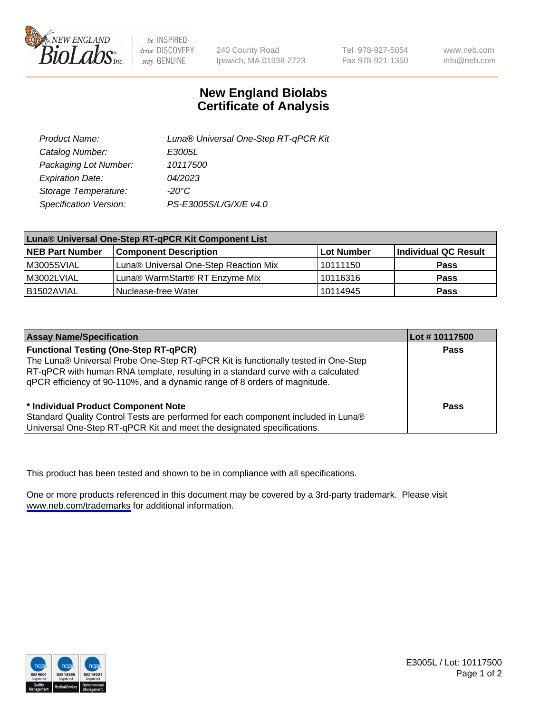

be INSPIRED drive DISCOVERY stay GENUINE

240 County Road Ipswich, MA 01938-2723 Tel 978-927-5054 Fax 978-921-1350

www.neb.com info@neb.com

## **New England Biolabs Certificate of Analysis**

| Product Name:           | Luna® Universal One-Step RT-qPCR Kit |  |
|-------------------------|--------------------------------------|--|
| Catalog Number:         | E3005L                               |  |
| Packaging Lot Number:   | 10117500                             |  |
| <b>Expiration Date:</b> | 04/2023                              |  |
| Storage Temperature:    | $-20^{\circ}$ C                      |  |
| Specification Version:  | PS-E3005S/L/G/X/E v4.0               |  |

| Luna® Universal One-Step RT-qPCR Kit Component List |                                       |              |                      |
|-----------------------------------------------------|---------------------------------------|--------------|----------------------|
| <b>NEB Part Number</b>                              | <b>Component Description</b>          | l Lot Number | Individual QC Result |
| M3005SVIAL                                          | Luna® Universal One-Step Reaction Mix | 10111150     | <b>Pass</b>          |
| M3002LVIAL                                          | Luna® WarmStart® RT Enzyme Mix        | 10116316     | <b>Pass</b>          |
| B1502AVIAL                                          | Nuclease-free Water                   | 10114945     | <b>Pass</b>          |

| <b>Assay Name/Specification</b>                                                                                                                                                                                                                                                                    | Lot #10117500 |
|----------------------------------------------------------------------------------------------------------------------------------------------------------------------------------------------------------------------------------------------------------------------------------------------------|---------------|
| <b>Functional Testing (One-Step RT-qPCR)</b><br>The Luna® Universal Probe One-Step RT-qPCR Kit is functionally tested in One-Step<br>RT-qPCR with human RNA template, resulting in a standard curve with a calculated<br>qPCR efficiency of 90-110%, and a dynamic range of 8 orders of magnitude. | <b>Pass</b>   |
| * Individual Product Component Note<br>Standard Quality Control Tests are performed for each component included in Luna®<br>Universal One-Step RT-qPCR Kit and meet the designated specifications.                                                                                                 | Pass          |

This product has been tested and shown to be in compliance with all specifications.

One or more products referenced in this document may be covered by a 3rd-party trademark. Please visit <www.neb.com/trademarks>for additional information.